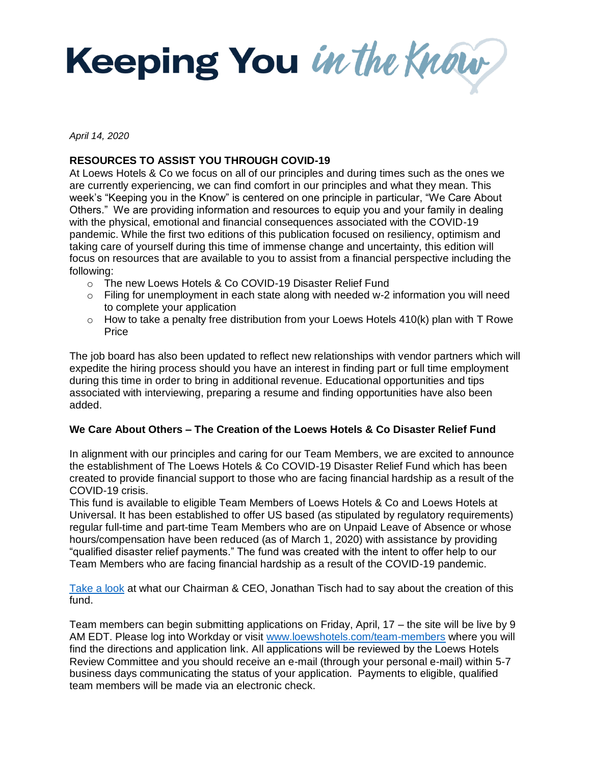Keeping You in the Know

*April 14, 2020* 

# **RESOURCES TO ASSIST YOU THROUGH COVID-19**

At Loews Hotels & Co we focus on all of our principles and during times such as the ones we are currently experiencing, we can find comfort in our principles and what they mean. This week's "Keeping you in the Know" is centered on one principle in particular, "We Care About Others." We are providing information and resources to equip you and your family in dealing with the physical, emotional and financial consequences associated with the COVID-19 pandemic. While the first two editions of this publication focused on resiliency, optimism and taking care of yourself during this time of immense change and uncertainty, this edition will focus on resources that are available to you to assist from a financial perspective including the following:

- o The new Loews Hotels & Co COVID-19 Disaster Relief Fund
- $\circ$  Filing for unemployment in each state along with needed w-2 information you will need to complete your application
- $\circ$  How to take a penalty free distribution from your Loews Hotels 410(k) plan with T Rowe Price

The job board has also been updated to reflect new relationships with vendor partners which will expedite the hiring process should you have an interest in finding part or full time employment during this time in order to bring in additional revenue. Educational opportunities and tips associated with interviewing, preparing a resume and finding opportunities have also been added.

# **We Care About Others – The Creation of the Loews Hotels & Co Disaster Relief Fund**

In alignment with our principles and caring for our Team Members, we are excited to announce the establishment of The Loews Hotels & Co COVID-19 Disaster Relief Fund which has been created to provide financial support to those who are facing financial hardship as a result of the COVID-19 crisis.

This fund is available to eligible Team Members of Loews Hotels & Co and Loews Hotels at Universal. It has been established to offer US based (as stipulated by regulatory requirements) regular full-time and part-time Team Members who are on Unpaid Leave of Absence or whose hours/compensation have been reduced (as of March 1, 2020) with assistance by providing "qualified disaster relief payments." The fund was created with the intent to offer help to our Team Members who are facing financial hardship as a result of the COVID-19 pandemic.

[Take a look](https://loews-opera.oracleindustry.com/OperaPortal/faces/view/pages/OperaPortal.jspx;jsessionid=OpN5szzdtUZjUQ3SbXuNJzCee4GLA0AuIVYSsNKz7UlO6HltJX6b!1601116237www.youtube.com/watch?v=nDZgU6QfI3U&feature=youtu.be) at what our Chairman & CEO, Jonathan Tisch had to say about the creation of this fund.

Team members can begin submitting applications on Friday, April, 17 – the site will be live by 9 AM EDT. Please log into Workday or visit [www.loewshotels.com/team-members](http://www.loewshotels.com/team-members) where you will find the directions and application link. All applications will be reviewed by the Loews Hotels Review Committee and you should receive an e-mail (through your personal e-mail) within 5-7 business days communicating the status of your application. Payments to eligible, qualified team members will be made via an electronic check.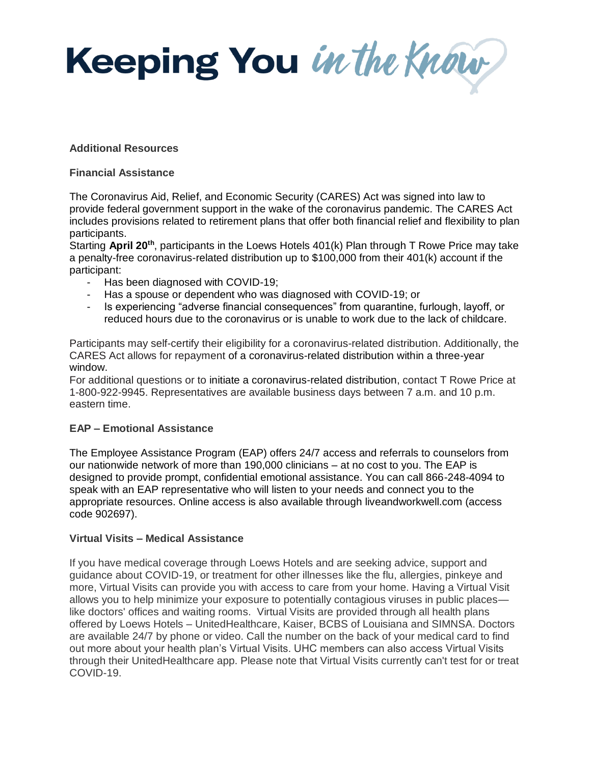Keeping You in the Know

### **Additional Resources**

#### **Financial Assistance**

The Coronavirus Aid, Relief, and Economic Security (CARES) Act was signed into law to provide federal government support in the wake of the coronavirus pandemic. The CARES Act includes provisions related to retirement plans that offer both financial relief and flexibility to plan participants.

Starting April 20<sup>th</sup>, participants in the Loews Hotels 401(k) Plan through T Rowe Price may take a penalty-free coronavirus-related distribution up to \$100,000 from their 401(k) account if the participant:

- Has been diagnosed with COVID-19;
- Has a spouse or dependent who was diagnosed with COVID-19; or
- Is experiencing "adverse financial consequences" from quarantine, furlough, layoff, or reduced hours due to the coronavirus or is unable to work due to the lack of childcare.

Participants may self-certify their eligibility for a coronavirus-related distribution. Additionally, the CARES Act allows for repayment of a coronavirus-related distribution within a three-year window.

For additional questions or to initiate a coronavirus-related distribution, contact T Rowe Price at 1-800-922-9945. Representatives are available business days between 7 a.m. and 10 p.m. eastern time.

# **EAP – Emotional Assistance**

The Employee Assistance Program (EAP) offers 24/7 access and referrals to counselors from our nationwide network of more than 190,000 clinicians – at no cost to you. The EAP is designed to provide prompt, confidential emotional assistance. You can call 866-248-4094 to speak with an EAP representative who will listen to your needs and connect you to the appropriate resources. Online access is also available through liveandworkwell.com (access code 902697).

# **Virtual Visits – Medical Assistance**

If you have medical coverage through Loews Hotels and are seeking advice, support and guidance about COVID-19, or treatment for other illnesses like the flu, allergies, pinkeye and more, Virtual Visits can provide you with access to care from your home. Having a Virtual Visit allows you to help minimize your exposure to potentially contagious viruses in public places like doctors' offices and waiting rooms. Virtual Visits are provided through all health plans offered by Loews Hotels – UnitedHealthcare, Kaiser, BCBS of Louisiana and SIMNSA. Doctors are available 24/7 by phone or video. Call the number on the back of your medical card to find out more about your health plan's Virtual Visits. UHC members can also access Virtual Visits through their UnitedHealthcare app. Please note that Virtual Visits currently can't test for or treat COVID-19.